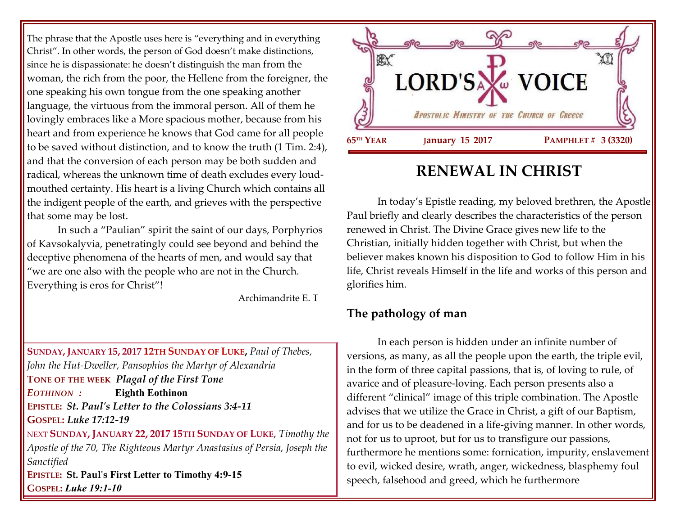The phrase that the Apostle uses here is "everything and in everything Christ". In other words, the person of God doesn't make distinctions, since he is dispassionate: he doesn't distinguish the man from the woman, the rich from the poor, the Hellene from the foreigner, the one speaking his own tongue from the one speaking another language, the virtuous from the immoral person. All of them he lovingly embraces like a More spacious mother, because from his heart and from experience he knows that God came for all people to be saved without distinction, and to know the truth (1 Tim. 2:4), and that the conversion of each person may be both sudden and radical, whereas the unknown time of death excludes every loudmouthed certainty. His heart is a living Church which contains all the indigent people of the earth, and grieves with the perspective that some may be lost.

In such a "Paulian" spirit the saint of our days, Porphyrios of Kavsokalyvia, penetratingly could see beyond and behind the deceptive phenomena of the hearts of men, and would say that "we are one also with the people who are not in the Church. Everything is eros for Christ"!

Archimandrite E. T

**SUNDAY, JANUARY 15, 2017 12TH SUNDAY OF LUKE,** *Paul of Thebes, John the Hut-Dweller, Pansophios the Martyr of Alexandria* **TONE OF THE WEEK** *Plagal of the First Tone EOTHINON :* **Eighth Eothinon EPISTLE:** *St. Paul's Letter to the Colossians 3:4-11* **GOSPEL:** *Luke 17:12-19* NEXT **SUNDAY, JANUARY 22, 2017 15TH SUNDAY OF LUKE**, *Timothy the Apostle of the 70, The Righteous Martyr Anastasius of Persia, Joseph the Sanctified* **EPISTLE: St. Paul's First Letter to Timothy 4:9-15 GOSPEL:** *Luke 19:1-10*



# **RENEWAL IN CHRIST**

In today's Epistle reading, my beloved brethren, the Apostle Paul briefly and clearly describes the characteristics of the person renewed in Christ. The Divine Grace gives new life to the Christian, initially hidden together with Christ, but when the believer makes known his disposition to God to follow Him in his life, Christ reveals Himself in the life and works of this person and glorifies him.

## **The pathology of man**

In each person is hidden under an infinite number of versions, as many, as all the people upon the earth, the triple evil, in the form of three capital passions, that is, of loving to rule, of avarice and of pleasure-loving. Each person presents also a different "clinical" image of this triple combination. The Apostle advises that we utilize the Grace in Christ, a gift of our Baptism, and for us to be deadened in a life-giving manner. In other words, not for us to uproot, but for us to transfigure our passions, furthermore he mentions some: fornication, impurity, enslavement to evil, wicked desire, wrath, anger, wickedness, blasphemy foul speech, falsehood and greed, which he furthermore